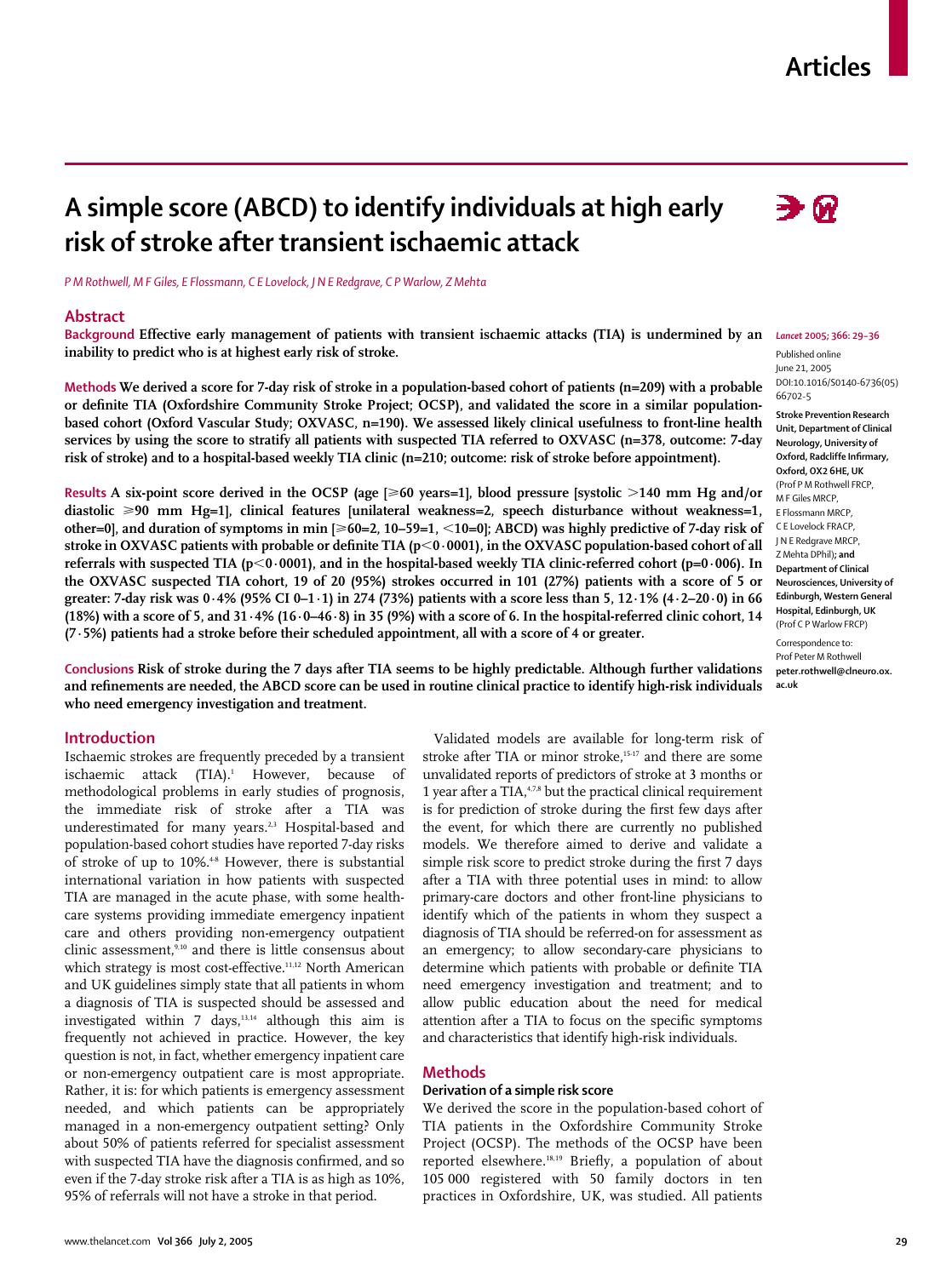# **Articles**

# ∋⋒

*P M Rothwell, M F Giles, E Flossmann, C E Lovelock, J N E Redgrave, C P Warlow, Z Mehta*

**risk of stroke after transient ischaemic attack**

#### **Abstract**

Background Effective early management of patients with transient ischaemic attacks (TIA) is undermined by an Lancet 2005; 366: 29-36 **inability to predict who is at highest early risk of stroke.** 

**A simple score (ABCD) to identify individuals at high early**

**or definite TIA (Oxfordshire Community Stroke Project; OCSP), and validated the score in a similar populationbased cohort (Oxford Vascular Study; OXVASC, n=190). We assessed likely clinical usefulness to front-line health services by using the score to stratify all patients with suspected TIA referred to OXVASC (n=378, outcome: 7-day risk of stroke) and to a hospital-based weekly TIA clinic (n=210; outcome: risk of stroke before appointment).** 

**Results A six-point score derived in the OCSP (age [**-**60 years=1], blood pressure [systolic 140 mm Hg and/or diastolic** -**90 mm Hg=1], clinical features [unilateral weakness=2, speech disturbance without weakness=1, other=0], and duration of symptoms in min [≥60=2, 10–59=1, <10=0]; ABCD) was highly predictive of 7-day risk of** stroke in OXVASC patients with probable or definite TIA ( $p$ <0·0001), in the OXVASC population-based cohort of all **referrals with suspected TIA (p0·0001), and in the hospital-based weekly TIA clinic-referred cohort (p=0·006). In the OXVASC suspected TIA cohort, 19 of 20 (95%) strokes occurred in 101 (27%) patients with a score of 5 or greater: 7-day risk was 0·4% (95% CI 0–1·1) in 274 (73%) patients with a score less than 5, 12·1% (4·2–20·0) in 66 (18%) with a score of 5, and 31·4% (16·0–46·8) in 35 (9%) with a score of 6. In the hospital-referred clinic cohort, 14 (7·5%) patients had a stroke before their scheduled appointment, all with a score of 4 or greater.** 

**Conclusions Risk of stroke during the 7 days after TIA seems to be highly predictable. Although further validations and refinements are needed, the ABCD score can be used in routine clinical practice to identify high-risk individuals who need emergency investigation and treatment.** 

#### **Introduction**

Ischaemic strokes are frequently preceded by a transient ischaemic attack (TIA).<sup>1</sup> However, because of methodological problems in early studies of prognosis, the immediate risk of stroke after a TIA was underestimated for many years.<sup>2,3</sup> Hospital-based and population-based cohort studies have reported 7-day risks of stroke of up to 10%.<sup>48</sup> However, there is substantial international variation in how patients with suspected TIA are managed in the acute phase, with some healthcare systems providing immediate emergency inpatient care and others providing non-emergency outpatient clinic assessment,9,10 and there is little consensus about which strategy is most cost-effective.<sup>11,12</sup> North American and UK guidelines simply state that all patients in whom a diagnosis of TIA is suspected should be assessed and investigated within 7 days,<sup>13,14</sup> although this aim is frequently not achieved in practice. However, the key question is not, in fact, whether emergency inpatient care or non-emergency outpatient care is most appropriate. Rather, it is: for which patients is emergency assessment needed, and which patients can be appropriately managed in a non-emergency outpatient setting? Only about 50% of patients referred for specialist assessment with suspected TIA have the diagnosis confirmed, and so even if the 7-day stroke risk after a TIA is as high as 10%, 95% of referrals will not have a stroke in that period.

Validated models are available for long-term risk of stroke after TIA or minor stroke,<sup>15-17</sup> and there are some unvalidated reports of predictors of stroke at 3 months or 1 year after a TIA,<sup>4,7,8</sup> but the practical clinical requirement is for prediction of stroke during the first few days after the event, for which there are currently no published models. We therefore aimed to derive and validate a simple risk score to predict stroke during the first 7 days after a TIA with three potential uses in mind: to allow primary-care doctors and other front-line physicians to identify which of the patients in whom they suspect a diagnosis of TIA should be referred-on for assessment as an emergency; to allow secondary-care physicians to determine which patients with probable or definite TIA need emergency investigation and treatment; and to allow public education about the need for medical attention after a TIA to focus on the specific symptoms and characteristics that identify high-risk individuals.

#### **Methods**

# **Derivation of a simple risk score**

We derived the score in the population-based cohort of TIA patients in the Oxfordshire Community Stroke Project (OCSP). The methods of the OCSP have been reported elsewhere.18,19 Briefly, a population of about 105 000 registered with 50 family doctors in ten practices in Oxfordshire, UK, was studied. All patients

**Methods We derived a score for 7-day risk of stroke in a population-based cohort of patients (n=209) with a probable**

www.thelancet.com **Vol 366 July 2, 2005 29**

Published online June 21, 2005 DOI:10.1016/S0140-6736(05) 66702-5 **Stroke Prevention Research Unit, Department of Clinical Neurology, University of Oxford, Radcliffe Infirmary, Oxford, OX2 6HE, UK** (Prof P M Rothwell FRCP, M F Giles MRCP, E Flossmann MRCP, C E Lovelock FRACP, J N E Redgrave MRCP, Z Mehta DPhil)**; and Department of Clinical Neurosciences, University of Edinburgh, Western General Hospital, Edinburgh, UK**  (Prof C P Warlow FRCP) Correspondence to:

Prof Peter M Rothwell **peter.rothwell@clneuro.ox. ac.uk**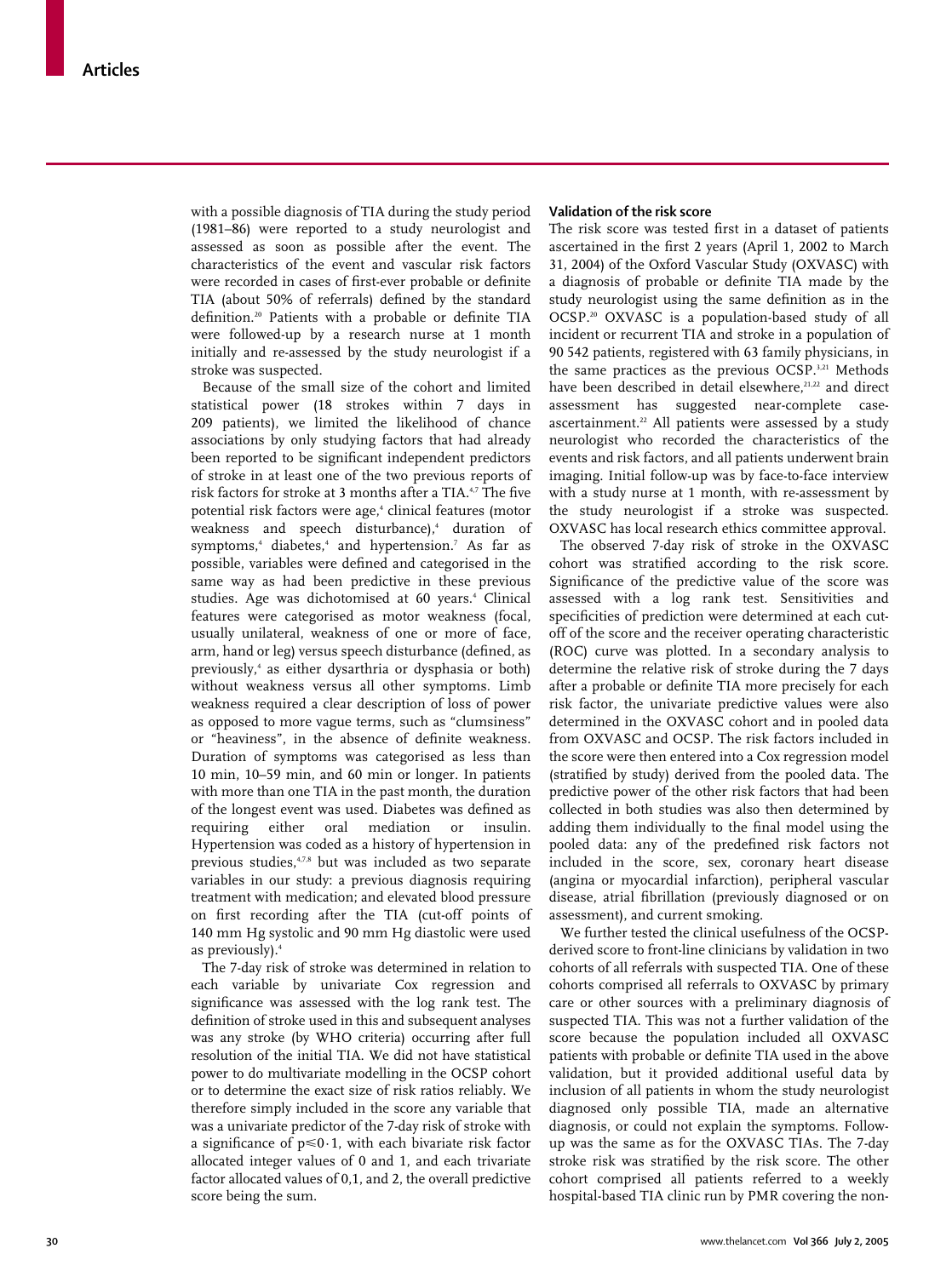with a possible diagnosis of TIA during the study period (1981–86) were reported to a study neurologist and assessed as soon as possible after the event. The characteristics of the event and vascular risk factors were recorded in cases of first-ever probable or definite TIA (about 50% of referrals) defined by the standard definition.20 Patients with a probable or definite TIA were followed-up by a research nurse at 1 month initially and re-assessed by the study neurologist if a stroke was suspected.

Because of the small size of the cohort and limited statistical power (18 strokes within 7 days in 209 patients), we limited the likelihood of chance associations by only studying factors that had already been reported to be significant independent predictors of stroke in at least one of the two previous reports of risk factors for stroke at 3 months after a TIA.<sup>4,7</sup> The five potential risk factors were age,<sup>4</sup> clinical features (motor weakness and speech disturbance),<sup>4</sup> duration of symptoms,<sup>4</sup> diabetes,<sup>4</sup> and hypertension.<sup>7</sup> As far as possible, variables were defined and categorised in the same way as had been predictive in these previous studies. Age was dichotomised at 60 years.<sup>4</sup> Clinical features were categorised as motor weakness (focal, usually unilateral, weakness of one or more of face, arm, hand or leg) versus speech disturbance (defined, as previously,4 as either dysarthria or dysphasia or both) without weakness versus all other symptoms. Limb weakness required a clear description of loss of power as opposed to more vague terms, such as "clumsiness" or "heaviness", in the absence of definite weakness. Duration of symptoms was categorised as less than 10 min, 10–59 min, and 60 min or longer. In patients with more than one TIA in the past month, the duration of the longest event was used. Diabetes was defined as requiring either oral mediation or insulin. Hypertension was coded as a history of hypertension in previous studies,<sup>4,7,8</sup> but was included as two separate variables in our study: a previous diagnosis requiring treatment with medication; and elevated blood pressure on first recording after the TIA (cut-off points of 140 mm Hg systolic and 90 mm Hg diastolic were used as previously).4

The 7-day risk of stroke was determined in relation to each variable by univariate Cox regression and significance was assessed with the log rank test. The definition of stroke used in this and subsequent analyses was any stroke (by WHO criteria) occurring after full resolution of the initial TIA. We did not have statistical power to do multivariate modelling in the OCSP cohort or to determine the exact size of risk ratios reliably. We therefore simply included in the score any variable that was a univariate predictor of the 7-day risk of stroke with a significance of  $p \le 0.1$ , with each bivariate risk factor allocated integer values of 0 and 1, and each trivariate factor allocated values of 0,1, and 2, the overall predictive score being the sum.

### **Validation of the risk score**

The risk score was tested first in a dataset of patients ascertained in the first 2 years (April 1, 2002 to March 31, 2004) of the Oxford Vascular Study (OXVASC) with a diagnosis of probable or definite TIA made by the study neurologist using the same definition as in the OCSP.20 OXVASC is a population-based study of all incident or recurrent TIA and stroke in a population of 90 542 patients, registered with 63 family physicians, in the same practices as the previous OCSP.<sup>3,21</sup> Methods have been described in detail elsewhere.<sup>21,22</sup> and direct assessment has suggested near-complete caseascertainment.<sup>22</sup> All patients were assessed by a study neurologist who recorded the characteristics of the events and risk factors, and all patients underwent brain imaging. Initial follow-up was by face-to-face interview with a study nurse at 1 month, with re-assessment by the study neurologist if a stroke was suspected. OXVASC has local research ethics committee approval.

The observed 7-day risk of stroke in the OXVASC cohort was stratified according to the risk score. Significance of the predictive value of the score was assessed with a log rank test. Sensitivities and specificities of prediction were determined at each cutoff of the score and the receiver operating characteristic (ROC) curve was plotted. In a secondary analysis to determine the relative risk of stroke during the 7 days after a probable or definite TIA more precisely for each risk factor, the univariate predictive values were also determined in the OXVASC cohort and in pooled data from OXVASC and OCSP. The risk factors included in the score were then entered into a Cox regression model (stratified by study) derived from the pooled data. The predictive power of the other risk factors that had been collected in both studies was also then determined by adding them individually to the final model using the pooled data: any of the predefined risk factors not included in the score, sex, coronary heart disease (angina or myocardial infarction), peripheral vascular disease, atrial fibrillation (previously diagnosed or on assessment), and current smoking.

We further tested the clinical usefulness of the OCSPderived score to front-line clinicians by validation in two cohorts of all referrals with suspected TIA. One of these cohorts comprised all referrals to OXVASC by primary care or other sources with a preliminary diagnosis of suspected TIA. This was not a further validation of the score because the population included all OXVASC patients with probable or definite TIA used in the above validation, but it provided additional useful data by inclusion of all patients in whom the study neurologist diagnosed only possible TIA, made an alternative diagnosis, or could not explain the symptoms. Followup was the same as for the OXVASC TIAs. The 7-day stroke risk was stratified by the risk score. The other cohort comprised all patients referred to a weekly hospital-based TIA clinic run by PMR covering the non-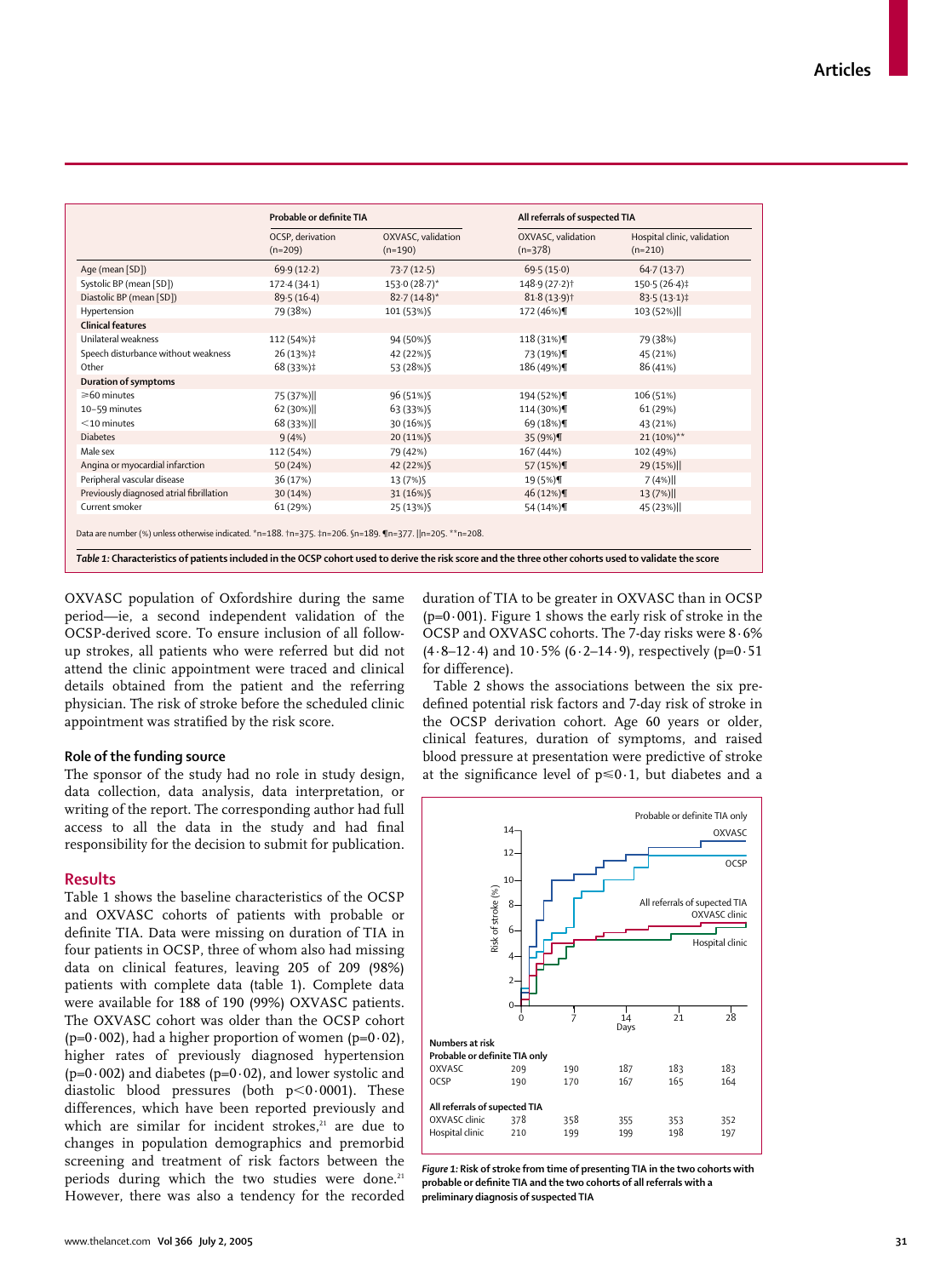|                                          | Probable or definite TIA      |                                 | All referrals of suspected TIA  |                                          |  |
|------------------------------------------|-------------------------------|---------------------------------|---------------------------------|------------------------------------------|--|
|                                          | OCSP, derivation<br>$(n=209)$ | OXVASC, validation<br>$(n=190)$ | OXVASC, validation<br>$(n=378)$ | Hospital clinic, validation<br>$(n=210)$ |  |
| Age (mean [SD])                          | 69.9(12.2)                    | 73.7(12.5)                      | 69.5(15.0)                      | 64.7(13.7)                               |  |
| Systolic BP (mean [SD])                  | 172.4(34.1)                   | $153.0(28.7)^*$                 | 148-9 (27-2) <sup>†</sup>       | $150.5(26.4)$ ‡                          |  |
| Diastolic BP (mean [SD])                 | 89.5(16.4)                    | $82.7(14.8)$ *                  | $81.8(13.9)$ <sup>†</sup>       | $83.5(13.1)$ ‡                           |  |
| Hypertension                             | 79 (38%)                      | 101 (53%)                       | 172 (46%)¶                      | 103 (52%)                                |  |
| <b>Clinical features</b>                 |                               |                                 |                                 |                                          |  |
| Unilateral weakness                      | 112 (54%)‡                    | 94 (50%) \$                     | 118 (31%)¶                      | 79 (38%)                                 |  |
| Speech disturbance without weakness      | $26(13%)\ddagger$             | 42 (22%)                        | 73 (19%)¶                       | 45 (21%)                                 |  |
| Other                                    | 68 (33%)‡                     | 53 (28%) \$                     | 186 (49%)¶                      | 86 (41%)                                 |  |
| <b>Duration of symptoms</b>              |                               |                                 |                                 |                                          |  |
| ≥60 minutes                              | 75 (37%)                      | 96 (51%) \$                     | 194 (52%)¶                      | 106 (51%)                                |  |
| 10-59 minutes                            | 62(30%)                       | 63 (33%) \$                     | 114 (30%)¶                      | 61 (29%)                                 |  |
| $<$ 10 minutes                           | 68 (33%)                      | 30 (16%) \$                     | 69 (18%)¶                       | 43 (21%)                                 |  |
| <b>Diabetes</b>                          | 9(4%)                         | 20 (11%) §                      | 35 (9%)¶                        | $21(10\%)$ **                            |  |
| Male sex                                 | 112 (54%)                     | 79 (42%)                        | 167 (44%)                       | 102 (49%)                                |  |
| Angina or myocardial infarction          | 50 (24%)                      | 42 (22%) \$                     | 57 (15%)¶                       | 29 (15%)                                 |  |
| Peripheral vascular disease              | 36 (17%)                      | 13 (7%) §                       | 19 (5%)¶                        | 7(4%)                                    |  |
| Previously diagnosed atrial fibrillation | 30 (14%)                      | 31 (16%) §                      | 46 (12%)¶                       | 13(7%)                                   |  |
| Current smoker                           | 61 (29%)                      | 25 (13%) \$                     | 54 (14%)¶                       | 45 (23%)                                 |  |

OXVASC population of Oxfordshire during the same period—ie, a second independent validation of the OCSP-derived score. To ensure inclusion of all followup strokes, all patients who were referred but did not attend the clinic appointment were traced and clinical details obtained from the patient and the referring physician. The risk of stroke before the scheduled clinic appointment was stratified by the risk score.

#### **Role of the funding source**

The sponsor of the study had no role in study design, data collection, data analysis, data interpretation, or writing of the report. The corresponding author had full access to all the data in the study and had final responsibility for the decision to submit for publication.

## **Results**

Table 1 shows the baseline characteristics of the OCSP and OXVASC cohorts of patients with probable or definite TIA. Data were missing on duration of TIA in four patients in OCSP, three of whom also had missing data on clinical features, leaving 205 of 209 (98%) patients with complete data (table 1). Complete data were available for 188 of 190 (99%) OXVASC patients. The OXVASC cohort was older than the OCSP cohort ( $p=0.002$ ), had a higher proportion of women ( $p=0.02$ ), higher rates of previously diagnosed hypertension ( $p=0.002$ ) and diabetes ( $p=0.02$ ), and lower systolic and diastolic blood pressures (both  $p<0.0001$ ). These differences, which have been reported previously and which are similar for incident strokes,<sup>21</sup> are due to changes in population demographics and premorbid screening and treatment of risk factors between the periods during which the two studies were done.<sup>21</sup> However, there was also a tendency for the recorded duration of TIA to be greater in OXVASC than in OCSP  $(p=0.001)$ . Figure 1 shows the early risk of stroke in the OCSP and OXVASC cohorts. The 7-day risks were 8·6%  $(4.8-12.4)$  and  $10.5\%$  (6.2–14.9), respectively (p=0.51) for difference).

Table 2 shows the associations between the six predefined potential risk factors and 7-day risk of stroke in the OCSP derivation cohort. Age 60 years or older, clinical features, duration of symptoms, and raised blood pressure at presentation were predictive of stroke at the significance level of  $p \le 0.1$ , but diabetes and a



*Figure 1:* **Risk of stroke from time of presenting TIA in the two cohorts with probable or definite TIA and the two cohorts of all referrals with a preliminary diagnosis of suspected TIA**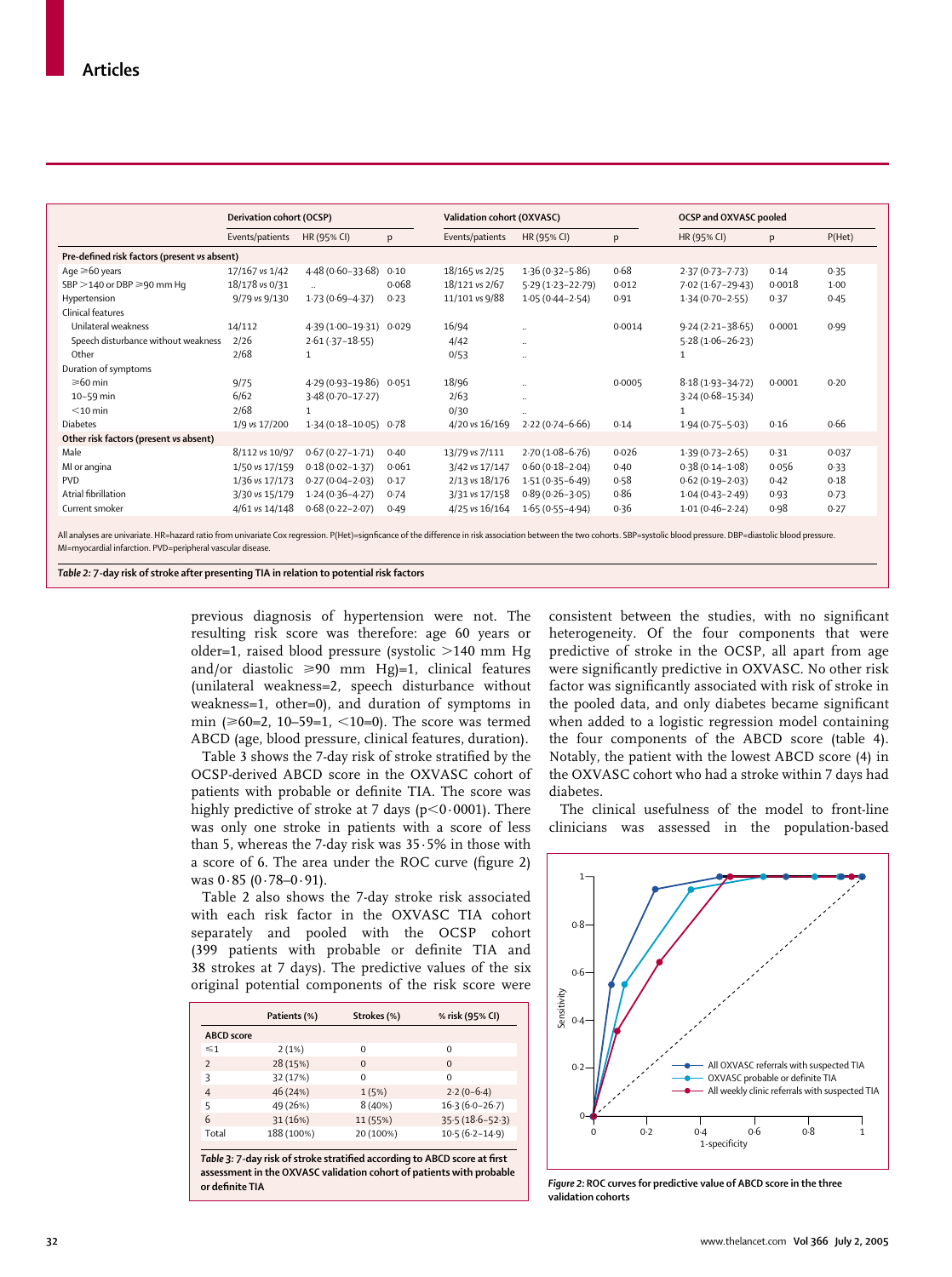|                                              | Derivation cohort (OCSP) |                           |       | Validation cohort (OXVASC) |                      | OCSP and OXVASC pooled |                      |        |        |
|----------------------------------------------|--------------------------|---------------------------|-------|----------------------------|----------------------|------------------------|----------------------|--------|--------|
|                                              | Events/patients          | HR (95% CI)               | p     | Events/patients            | HR (95% CI)          | p                      | HR (95% CI)          | p      | P(Het) |
| Pre-defined risk factors (present vs absent) |                          |                           |       |                            |                      |                        |                      |        |        |
| Age $\geq 60$ years                          | 17/167 vs 1/42           | 4.48 (0.60-33.68)         | 0.10  | 18/165 vs 2/25             | $1.36(0.32 - 5.86)$  | 0.68                   | $2.37(0.73 - 7.73)$  | 0.14   | 0.35   |
| SBP >140 or DBP ≥90 mm Hq                    | 18/178 vs 0/31           |                           | 0.068 | 18/121 vs 2/67             | $5.29(1.23 - 22.79)$ | 0.012                  | $7.02(1.67 - 29.43)$ | 0.0018 | 1.00   |
| Hypertension                                 | 9/79 vs 9/130            | $1.73(0.69 - 4.37)$       | 0.23  | 11/101 vs 9/88             | $1.05(0.44 - 2.54)$  | 0.91                   | $1.34(0.70 - 2.55)$  | 0.37   | 0.45   |
| Clinical features                            |                          |                           |       |                            |                      |                        |                      |        |        |
| Unilateral weakness                          | 14/112                   | 4.39 (1.00-19.31) 0.029   |       | 16/94                      |                      | 0.0014                 | $9.24(2.21 - 38.65)$ | 0.0001 | 0.99   |
| Speech disturbance without weakness          | 2/26                     | $2.61(.37 - 18.55)$       |       | 4/42                       | $\ddotsc$            |                        | $5.28(1.06 - 26.23)$ |        |        |
| Other                                        | 2/68                     | $\mathbf{1}$              |       | 0/53                       | $\ddotsc$            |                        | 1                    |        |        |
| Duration of symptoms                         |                          |                           |       |                            |                      |                        |                      |        |        |
| $\geqslant 60$ min                           | 9/75                     | 4.29 (0.93-19.86) 0.051   |       | 18/96                      |                      | 0.0005                 | $8.18(1.93 - 34.72)$ | 0.0001 | 0.20   |
| 10-59 min                                    | 6/62                     | $3.48(0.70 - 17.27)$      |       | 2/63                       | $\ldots$             |                        | $3.24(0.68 - 15.34)$ |        |        |
| $<$ 10 min                                   | 2/68                     |                           |       | 0/30                       |                      |                        | 1                    |        |        |
| <b>Diabetes</b>                              | 1/9 vs 17/200            | $1.34(0.18 - 10.05)$ 0.78 |       | 4/20 vs 16/169             | $2.22(0.74 - 6.66)$  | 0.14                   | $1.94(0.75 - 5.03)$  | 0.16   | 0.66   |
| Other risk factors (present vs absent)       |                          |                           |       |                            |                      |                        |                      |        |        |
| Male                                         | 8/112 vs 10/97           | $0.67(0.27 - 1.71)$       | 0.40  | 13/79 vs 7/111             | $2.70(1.08-6.76)$    | 0.026                  | $1.39(0.73 - 2.65)$  | 0.31   | 0.037  |
| MI or angina                                 | 1/50 vs 17/159           | $0.18(0.02 - 1.37)$       | 0.061 | 3/42 vs 17/147             | $0.60(0.18-2.04)$    | 0.40                   | $0.38(0.14 - 1.08)$  | 0.056  | 0.33   |
| <b>PVD</b>                                   | 1/36 vs 17/173           | $0.27(0.04 - 2.03)$       | 0.17  | 2/13 vs 18/176             | $1.51(0.35 - 6.49)$  | 0.58                   | $0.62(0.19 - 2.03)$  | 0.42   | 0.18   |
| Atrial fibrillation                          | 3/30 vs 15/179           | $1.24(0.36 - 4.27)$       | 0.74  | 3/31 vs 17/158             | $0.89(0.26 - 3.05)$  | 0.86                   | $1.04(0.43 - 2.49)$  | 0.93   | 0.73   |
| Current smoker                               | 4/61 vs 14/148           | $0.68(0.22 - 2.07)$       | 0.49  | 4/25 vs 16/164             | $1.65(0.55 - 4.94)$  | 0.36                   | $1.01(0.46 - 2.24)$  | 0.98   | 0.27   |

All analyses are univariate. HR=hazard ratio from univariate Cox regression. P(Het)=signficance of the difference in risk association between the two cohorts. SBP=systolic blood pressure. DBP=diastolic blood pressure. MI=myocardial infarction. PVD=peripheral vascular disease.

*Table 2:* **7-day risk of stroke after presenting TIA in relation to potential risk factors** 

previous diagnosis of hypertension were not. The resulting risk score was therefore: age 60 years or older=1, raised blood pressure (systolic  $>140$  mm Hg and/or diastolic  $\geqslant 90$  mm Hg)=1, clinical features (unilateral weakness=2, speech disturbance without weakness=1, other=0), and duration of symptoms in  $min$  ( $\geq 60=2$ , 10–59=1,  $\leq 10=0$ ). The score was termed ABCD (age, blood pressure, clinical features, duration).

Table 3 shows the 7-day risk of stroke stratified by the OCSP-derived ABCD score in the OXVASC cohort of patients with probable or definite TIA. The score was highly predictive of stroke at 7 days ( $p<0.0001$ ). There was only one stroke in patients with a score of less than 5, whereas the 7-day risk was 35·5% in those with a score of 6. The area under the ROC curve (figure 2) was  $0.85 (0.78 - 0.91)$ .

Table 2 also shows the 7-day stroke risk associated with each risk factor in the OXVASC TIA cohort separately and pooled with the OCSP cohort (399 patients with probable or definite TIA and 38 strokes at 7 days). The predictive values of the six original potential components of the risk score were

|                          | Patients (%) | Strokes (%) | % risk (95% CI)     |
|--------------------------|--------------|-------------|---------------------|
| <b>ABCD</b> score        |              |             |                     |
| $\leq 1$                 | 2(1%)        | $\Omega$    | $\Omega$            |
| $\overline{\phantom{0}}$ | 28 (15%)     | $\Omega$    | $\Omega$            |
| ς                        | 32 (17%)     | $\Omega$    | $\Omega$            |
| 4                        | 46 (24%)     | 1(5%)       | $2.2(0-6.4)$        |
| 5                        | 49 (26%)     | 8(40%)      | $16.3(6.0-26.7)$    |
| 6                        | 31 (16%)     | 11 (55%)    | $35.5(18.6 - 52.3)$ |
| Total                    | 188 (100%)   | 20 (100%)   | $10.5(6.2 - 14.9)$  |
|                          |              |             |                     |

*Table 3:* **7-day risk of stroke stratified according to ABCD score at first assessment in the OXVASC validation cohort of patients with probable or definite TIA**

consistent between the studies, with no significant heterogeneity. Of the four components that were predictive of stroke in the OCSP, all apart from age were significantly predictive in OXVASC. No other risk factor was significantly associated with risk of stroke in the pooled data, and only diabetes became significant when added to a logistic regression model containing the four components of the ABCD score (table 4). Notably, the patient with the lowest ABCD score (4) in the OXVASC cohort who had a stroke within 7 days had diabetes.

The clinical usefulness of the model to front-line clinicians was assessed in the population-based



*Figure 2:* **ROC curves for predictive value of ABCD score in the three validation cohorts**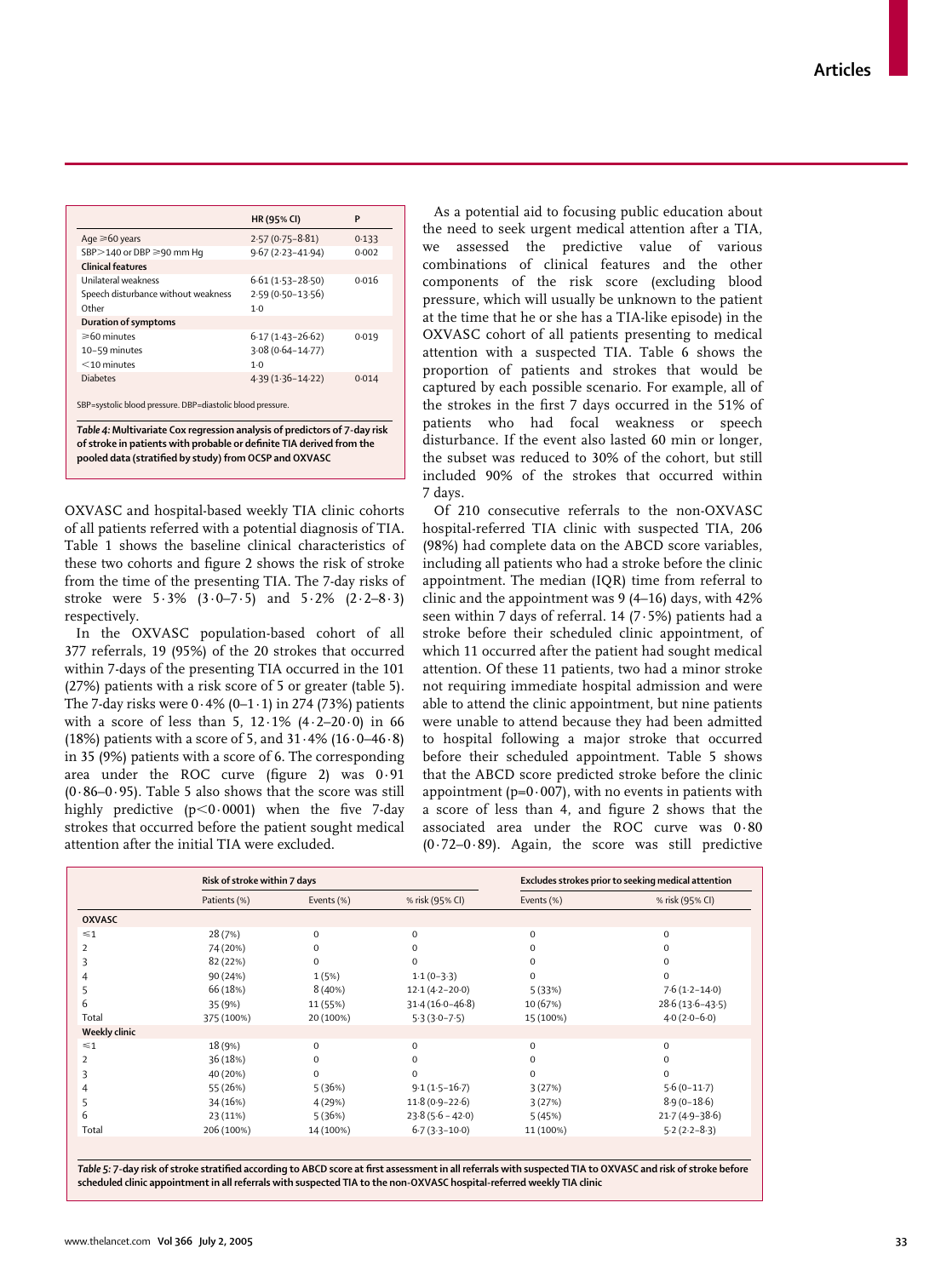| HR (95% CI)<br>P                                            |
|-------------------------------------------------------------|
| Age $\geq 60$ years<br>$2.57(0.75 - 8.81)$<br>0.133         |
| $9.67(2.23 - 41.94)$<br>SBP>140 or DBP ≥90 mm Hq<br>0.002   |
| <b>Clinical features</b>                                    |
| 0.016<br>Unilateral weakness<br>$6.61(1.53 - 28.50)$        |
| $2.59(0.50 - 13.56)$<br>Speech disturbance without weakness |
| $1-0$                                                       |
| Duration of symptoms                                        |
| ≥60 minutes<br>$6.17(1.43 - 26.62)$<br>0.019                |
| $3.08(0.64 - 14.77)$<br>10-59 minutes                       |
| $<$ 10 minutes<br>$1-0$                                     |
| $4.39(1.36 - 14.22)$<br>0.014                               |
| SBP=systolic blood pressure. DBP=diastolic blood pressure.  |

*Table 4:* **Multivariate Cox regression analysis of predictors of 7-day risk of stroke in patients with probable or definite TIA derived from the pooled data (stratified by study) from OCSP and OXVASC**

OXVASC and hospital-based weekly TIA clinic cohorts of all patients referred with a potential diagnosis of TIA. Table 1 shows the baseline clinical characteristics of these two cohorts and figure 2 shows the risk of stroke from the time of the presenting TIA. The 7-day risks of stroke were 5·3% (3·0–7·5) and 5·2% (2·2–8·3) respectively.

In the OXVASC population-based cohort of all 377 referrals, 19 (95%) of the 20 strokes that occurred within 7-days of the presenting TIA occurred in the 101 (27%) patients with a risk score of 5 or greater (table 5). The 7-day risks were  $0.4\%$  (0-1 $\cdot$ 1) in 274 (73%) patients with a score of less than 5,  $12.1\%$   $(4.2-20.0)$  in 66 (18%) patients with a score of 5, and  $31.4\%$  (16 $.0-46.8$ ) in 35 (9%) patients with a score of 6. The corresponding area under the ROC curve (figure 2) was 0·91  $(0.86-0.95)$ . Table 5 also shows that the score was still highly predictive  $(p<0.0001)$  when the five 7-day strokes that occurred before the patient sought medical attention after the initial TIA were excluded.

As a potential aid to focusing public education about the need to seek urgent medical attention after a TIA, we assessed the predictive value of various combinations of clinical features and the other components of the risk score (excluding blood pressure, which will usually be unknown to the patient at the time that he or she has a TIA-like episode) in the OXVASC cohort of all patients presenting to medical attention with a suspected TIA. Table 6 shows the proportion of patients and strokes that would be captured by each possible scenario. For example, all of the strokes in the first 7 days occurred in the 51% of patients who had focal weakness or speech disturbance. If the event also lasted 60 min or longer, the subset was reduced to 30% of the cohort, but still included 90% of the strokes that occurred within 7 days.

Of 210 consecutive referrals to the non-OXVASC hospital-referred TIA clinic with suspected TIA, 206 (98%) had complete data on the ABCD score variables, including all patients who had a stroke before the clinic appointment. The median (IQR) time from referral to clinic and the appointment was 9 (4–16) days, with 42% seen within 7 days of referral. 14 (7·5%) patients had a stroke before their scheduled clinic appointment, of which 11 occurred after the patient had sought medical attention. Of these 11 patients, two had a minor stroke not requiring immediate hospital admission and were able to attend the clinic appointment, but nine patients were unable to attend because they had been admitted to hospital following a major stroke that occurred before their scheduled appointment. Table 5 shows that the ABCD score predicted stroke before the clinic appointment ( $p=0.007$ ), with no events in patients with a score of less than 4, and figure 2 shows that the associated area under the ROC curve was 0·80 (0·72–0·89). Again, the score was still predictive

|               | Risk of stroke within 7 days |              |                     | Excludes strokes prior to seeking medical attention |                     |  |
|---------------|------------------------------|--------------|---------------------|-----------------------------------------------------|---------------------|--|
|               | Patients (%)                 | Events (%)   | % risk (95% CI)     | Events (%)                                          | % risk (95% CI)     |  |
| <b>OXVASC</b> |                              |              |                     |                                                     |                     |  |
| $\leq 1$      | 28 (7%)                      | $\mathbf{0}$ | $\mathbf 0$         | $\mathbf 0$                                         | $\mathbf 0$         |  |
| 2             | 74 (20%)                     | $\mathbf{0}$ | $\Omega$            | $\mathbf 0$                                         | $\mathbf 0$         |  |
| ς             | 82 (22%)                     | $\Omega$     | $\Omega$            | $\mathbf 0$                                         | $\mathbf 0$         |  |
| 4             | 90 (24%)                     | 1(5%)        | $1.1(0-3.3)$        | 0                                                   | 0                   |  |
| 5             | 66 (18%)                     | 8(40%)       | $12.1(4.2 - 20.0)$  | 5(33%)                                              | $7.6(1.2 - 14.0)$   |  |
| 6             | 35 (9%)                      | 11 (55%)     | $31.4(16.0 - 46.8)$ | 10 (67%)                                            | $28.6(13.6 - 43.5)$ |  |
| Total         | 375 (100%)                   | 20 (100%)    | $5.3(3.0 - 7.5)$    | 15 (100%)                                           | $4.0(2.0-6.0)$      |  |
| Weekly clinic |                              |              |                     |                                                     |                     |  |
| $\leq 1$      | 18 (9%)                      | $\mathbf 0$  | $\Omega$            | $\mathbf 0$                                         | $\mathbf 0$         |  |
| 2             | 36 (18%)                     | $\mathbf{0}$ | $\Omega$            | $\mathbf 0$                                         | $\mathbf 0$         |  |
|               | 40 (20%)                     | $\Omega$     | $\Omega$            | $\Omega$                                            | $\Omega$            |  |
|               | 55 (26%)                     | 5(36%)       | $9.1(1.5-16.7)$     | 3(27%)                                              | $5.6(0-11.7)$       |  |
| 5             | 34 (16%)                     | 4(29%)       | $11.8(0.9 - 22.6)$  | 3(27%)                                              | $8.9(0-18.6)$       |  |
| 6             | 23 (11%)                     | 5(36%)       | $23.8(5.6 - 42.0)$  | 5(45%)                                              | $21.7(4.9 - 38.6)$  |  |
| Total         | 206 (100%)                   | 14 (100%)    | $6.7(3.3 - 10.0)$   | 11 (100%)                                           | $5.2(2.2 - 8.3)$    |  |

*Table 5:* **7-day risk of stroke stratified according to ABCD score at first assessment in all referrals with suspected TIA to OXVASC and risk of stroke before scheduled clinic appointment in all referrals with suspected TIA to the non-OXVASC hospital-referred weekly TIA clinic**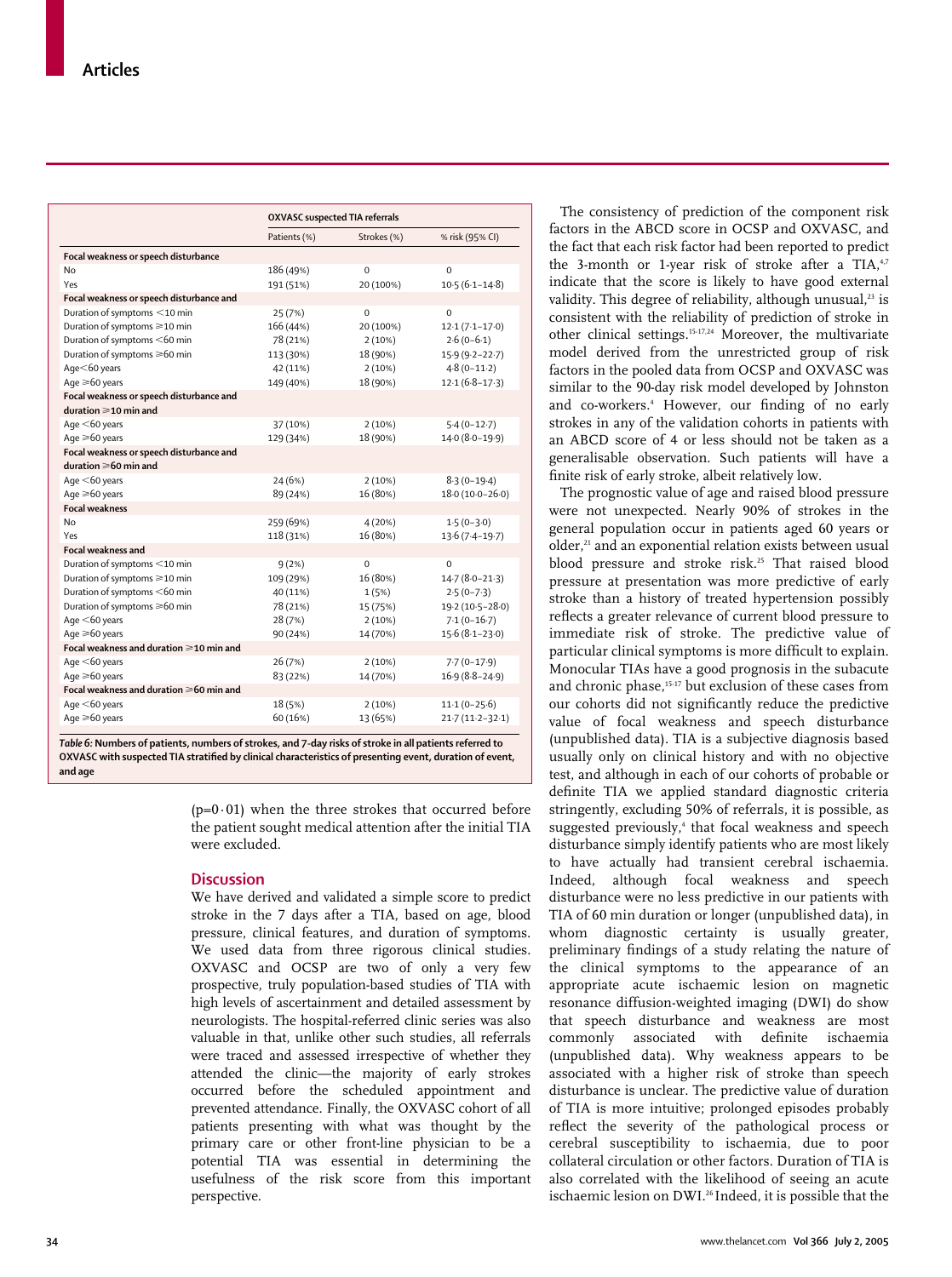|                                          | <b>OXVASC</b> suspected TIA referrals |             |                     |  |
|------------------------------------------|---------------------------------------|-------------|---------------------|--|
|                                          | Patients (%)                          | Strokes (%) | % risk (95% CI)     |  |
| Focal weakness or speech disturbance     |                                       |             |                     |  |
| No                                       | 186 (49%)                             | $\Omega$    | $\Omega$            |  |
| Yes                                      | 191 (51%)                             | 20 (100%)   | $10.5(6.1 - 14.8)$  |  |
| Focal weakness or speech disturbance and |                                       |             |                     |  |
| Duration of symptoms <10 min             | 25 (7%)                               | $\mathbf 0$ | $\Omega$            |  |
| Duration of symptoms ≥10 min             | 166 (44%)                             | 20 (100%)   | $12.1(7.1 - 17.0)$  |  |
| Duration of symptoms <60 min             | 78 (21%)                              | 2(10%)      | $2.6(0-6.1)$        |  |
| Duration of symptoms ≥60 min             | 113 (30%)                             | 18 (90%)    | $15.9(9.2 - 22.7)$  |  |
| Age<60 years                             | 42 (11%)                              | 2(10%)      | $4.8(0-11.2)$       |  |
| Age $\geq 60$ years                      | 149 (40%)                             | 18 (90%)    | $12.1(6.8-17.3)$    |  |
| Focal weakness or speech disturbance and |                                       |             |                     |  |
| duration $\geqslant$ 10 min and          |                                       |             |                     |  |
| Age $<$ 60 years                         | 37 (10%)                              | 2(10%)      | $5.4(0-12.7)$       |  |
| Age $\geq 60$ years                      | 129 (34%)                             | 18 (90%)    | 14.0 (8.0-19.9)     |  |
| Focal weakness or speech disturbance and |                                       |             |                     |  |
| duration $\geqslant 60$ min and          |                                       |             |                     |  |
| Age $<$ 60 years                         | 24 (6%)                               | 2(10%)      | $8.3(0-19.4)$       |  |
| Age $\geq 60$ years                      | 89 (24%)                              | 16 (80%)    | $18.0(10.0-26.0)$   |  |
| <b>Focal weakness</b>                    |                                       |             |                     |  |
| No                                       | 259 (69%)                             | 4(20%)      | $1.5(0-3.0)$        |  |
| Yes                                      | 118 (31%)                             | 16 (80%)    | $13.6(7.4 - 19.7)$  |  |
| <b>Focal weakness and</b>                |                                       |             |                     |  |
| Duration of symptoms <10 min             | 9(2%)                                 | $\Omega$    | $\Omega$            |  |
| Duration of symptoms ≥10 min             | 109 (29%)                             | 16 (80%)    | $14.7(8.0-21.3)$    |  |
| Duration of symptoms <60 min             | 40 (11%)                              | 1(5%)       | $2.5(0-7.3)$        |  |
| Duration of symptoms ≥60 min             | 78 (21%)                              | 15 (75%)    | 19-2 (10-5-28-0)    |  |
| Age $<$ 60 years                         | 28 (7%)                               | 2(10%)      | $7.1(0-16.7)$       |  |
| Age $\geq 60$ years                      | 90 (24%)                              | 14 (70%)    | $15.6(8.1 - 23.0)$  |  |
| Focal weakness and duration ≥10 min and  |                                       |             |                     |  |
| Age $<$ 60 years                         | 26 (7%)                               | 2(10%)      | $7.7(0-17.9)$       |  |
| Age $\geq 60$ years                      | 83 (22%)                              | 14 (70%)    | $16.9(8.8 - 24.9)$  |  |
| Focal weakness and duration ≥60 min and  |                                       |             |                     |  |
| Age $<$ 60 years                         | 18 (5%)                               | 2(10%)      | $11.1(0-25.6)$      |  |
| Age $\geq 60$ years                      | 60 (16%)                              | 13 (65%)    | $21.7(11.2 - 32.1)$ |  |

*Table 6:* **Numbers of patients, numbers of strokes, and 7-day risks of stroke in all patients referred to OXVASC with suspected TIA stratified by clinical characteristics of presenting event, duration of event, and age**

> $(p=0.01)$  when the three strokes that occurred before the patient sought medical attention after the initial TIA were excluded.

# **Discussion**

We have derived and validated a simple score to predict stroke in the 7 days after a TIA, based on age, blood pressure, clinical features, and duration of symptoms. We used data from three rigorous clinical studies. OXVASC and OCSP are two of only a very few prospective, truly population-based studies of TIA with high levels of ascertainment and detailed assessment by neurologists. The hospital-referred clinic series was also valuable in that, unlike other such studies, all referrals were traced and assessed irrespective of whether they attended the clinic—the majority of early strokes occurred before the scheduled appointment and prevented attendance. Finally, the OXVASC cohort of all patients presenting with what was thought by the primary care or other front-line physician to be a potential TIA was essential in determining the usefulness of the risk score from this important perspective.

The consistency of prediction of the component risk factors in the ABCD score in OCSP and OXVASC, and the fact that each risk factor had been reported to predict the 3-month or 1-year risk of stroke after a TIA, $4,7$ indicate that the score is likely to have good external validity. This degree of reliability, although unusual, $23$  is consistent with the reliability of prediction of stroke in other clinical settings.15-17,24 Moreover, the multivariate model derived from the unrestricted group of risk factors in the pooled data from OCSP and OXVASC was similar to the 90-day risk model developed by Johnston and co-workers.<sup>4</sup> However, our finding of no early strokes in any of the validation cohorts in patients with an ABCD score of 4 or less should not be taken as a generalisable observation. Such patients will have a finite risk of early stroke, albeit relatively low.

The prognostic value of age and raised blood pressure were not unexpected. Nearly 90% of strokes in the general population occur in patients aged 60 years or older,<sup>21</sup> and an exponential relation exists between usual blood pressure and stroke risk.<sup>25</sup> That raised blood pressure at presentation was more predictive of early stroke than a history of treated hypertension possibly reflects a greater relevance of current blood pressure to immediate risk of stroke. The predictive value of particular clinical symptoms is more difficult to explain. Monocular TIAs have a good prognosis in the subacute and chronic phase,15-17 but exclusion of these cases from our cohorts did not significantly reduce the predictive value of focal weakness and speech disturbance (unpublished data). TIA is a subjective diagnosis based usually only on clinical history and with no objective test, and although in each of our cohorts of probable or definite TIA we applied standard diagnostic criteria stringently, excluding 50% of referrals, it is possible, as suggested previously,<sup>4</sup> that focal weakness and speech disturbance simply identify patients who are most likely to have actually had transient cerebral ischaemia. Indeed, although focal weakness and speech disturbance were no less predictive in our patients with TIA of 60 min duration or longer (unpublished data), in whom diagnostic certainty is usually greater, preliminary findings of a study relating the nature of the clinical symptoms to the appearance of an appropriate acute ischaemic lesion on magnetic resonance diffusion-weighted imaging (DWI) do show that speech disturbance and weakness are most commonly associated with definite ischaemia (unpublished data). Why weakness appears to be associated with a higher risk of stroke than speech disturbance is unclear. The predictive value of duration of TIA is more intuitive; prolonged episodes probably reflect the severity of the pathological process or cerebral susceptibility to ischaemia, due to poor collateral circulation or other factors. Duration of TIA is also correlated with the likelihood of seeing an acute ischaemic lesion on DWI.26 Indeed, it is possible that the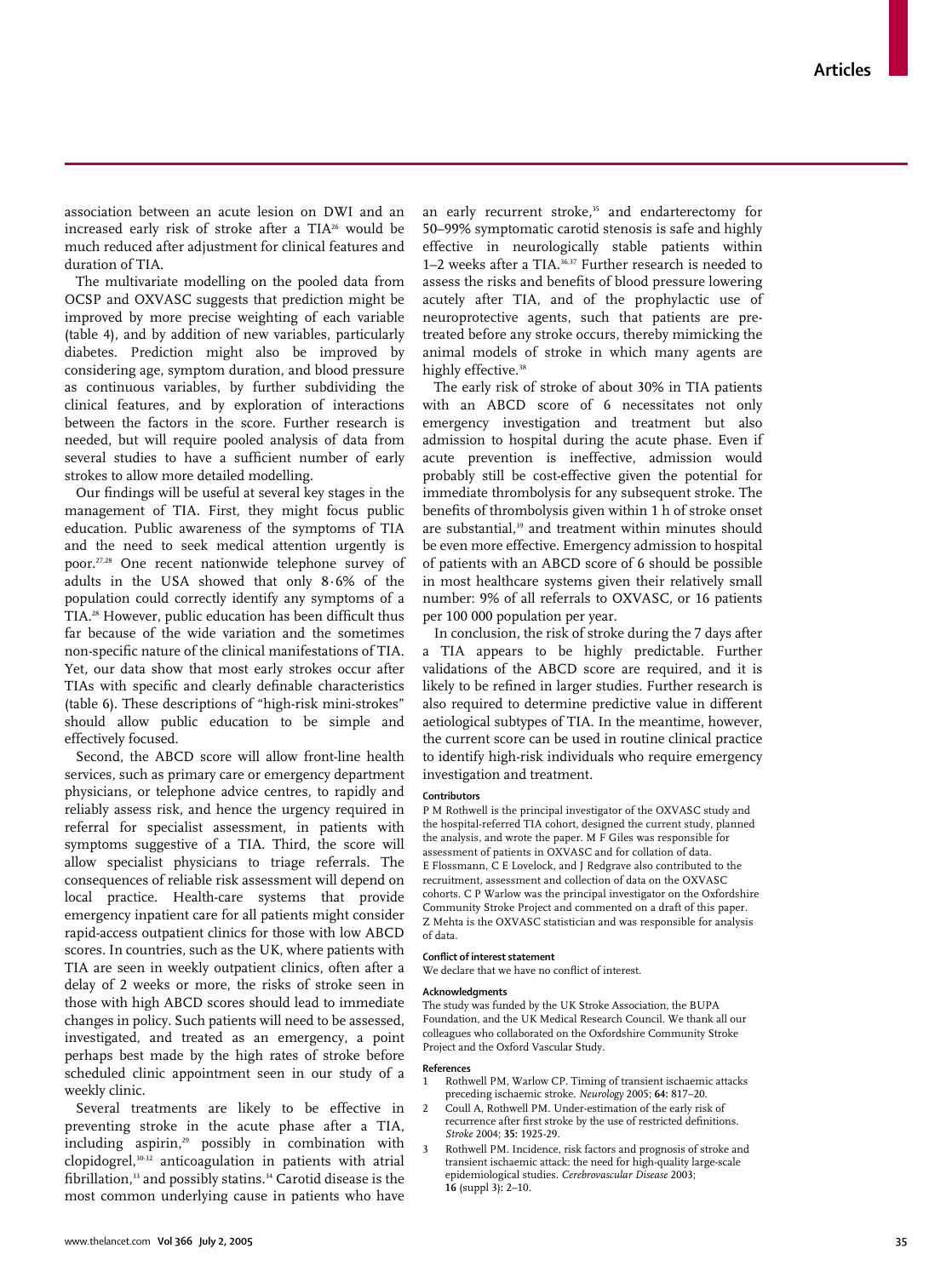association between an acute lesion on DWI and an increased early risk of stroke after a TIA26 would be much reduced after adjustment for clinical features and duration of TIA.

The multivariate modelling on the pooled data from OCSP and OXVASC suggests that prediction might be improved by more precise weighting of each variable (table 4), and by addition of new variables, particularly diabetes. Prediction might also be improved by considering age, symptom duration, and blood pressure as continuous variables, by further subdividing the clinical features, and by exploration of interactions between the factors in the score. Further research is needed, but will require pooled analysis of data from several studies to have a sufficient number of early strokes to allow more detailed modelling.

Our findings will be useful at several key stages in the management of TIA. First, they might focus public education. Public awareness of the symptoms of TIA and the need to seek medical attention urgently is poor.27,28 One recent nationwide telephone survey of adults in the USA showed that only 8·6% of the population could correctly identify any symptoms of a TIA.28 However, public education has been difficult thus far because of the wide variation and the sometimes non-specific nature of the clinical manifestations of TIA. Yet, our data show that most early strokes occur after TIAs with specific and clearly definable characteristics (table 6). These descriptions of "high-risk mini-strokes" should allow public education to be simple and effectively focused.

Second, the ABCD score will allow front-line health services, such as primary care or emergency department physicians, or telephone advice centres, to rapidly and reliably assess risk, and hence the urgency required in referral for specialist assessment, in patients with symptoms suggestive of a TIA. Third, the score will allow specialist physicians to triage referrals. The consequences of reliable risk assessment will depend on local practice. Health-care systems that provide emergency inpatient care for all patients might consider rapid-access outpatient clinics for those with low ABCD scores. In countries, such as the UK, where patients with TIA are seen in weekly outpatient clinics, often after a delay of 2 weeks or more, the risks of stroke seen in those with high ABCD scores should lead to immediate changes in policy. Such patients will need to be assessed, investigated, and treated as an emergency, a point perhaps best made by the high rates of stroke before scheduled clinic appointment seen in our study of a weekly clinic.

Several treatments are likely to be effective in preventing stroke in the acute phase after a TIA, including aspirin,<sup>29</sup> possibly in combination with clopidogrel,30-32 anticoagulation in patients with atrial fibrillation,<sup>33</sup> and possibly statins.<sup>34</sup> Carotid disease is the most common underlying cause in patients who have an early recurrent stroke,<sup>35</sup> and endarterectomy for 50–99% symptomatic carotid stenosis is safe and highly effective in neurologically stable patients within 1–2 weeks after a TIA.<sup>36,37</sup> Further research is needed to assess the risks and benefits of blood pressure lowering acutely after TIA, and of the prophylactic use of neuroprotective agents, such that patients are pretreated before any stroke occurs, thereby mimicking the animal models of stroke in which many agents are highly effective.<sup>38</sup>

The early risk of stroke of about 30% in TIA patients with an ABCD score of 6 necessitates not only emergency investigation and treatment but also admission to hospital during the acute phase. Even if acute prevention is ineffective, admission would probably still be cost-effective given the potential for immediate thrombolysis for any subsequent stroke. The benefits of thrombolysis given within 1 h of stroke onset are substantial.<sup>39</sup> and treatment within minutes should be even more effective. Emergency admission to hospital of patients with an ABCD score of 6 should be possible in most healthcare systems given their relatively small number: 9% of all referrals to OXVASC, or 16 patients per 100 000 population per year.

In conclusion, the risk of stroke during the 7 days after a TIA appears to be highly predictable. Further validations of the ABCD score are required, and it is likely to be refined in larger studies. Further research is also required to determine predictive value in different aetiological subtypes of TIA. In the meantime, however, the current score can be used in routine clinical practice to identify high-risk individuals who require emergency investigation and treatment.

#### **Contributors**

P M Rothwell is the principal investigator of the OXVASC study and the hospital-referred TIA cohort, designed the current study, planned the analysis, and wrote the paper. M F Giles was responsible for assessment of patients in OXVASC and for collation of data. E Flossmann, C E Lovelock, and J Redgrave also contributed to the recruitment, assessment and collection of data on the OXVASC cohorts. C P Warlow was the principal investigator on the Oxfordshire Community Stroke Project and commented on a draft of this paper. Z Mehta is the OXVASC statistician and was responsible for analysis of data.

# **Conflict of interest statement**

We declare that we have no conflict of interest.

#### **Acknowledgments**

The study was funded by the UK Stroke Association, the BUPA Foundation, and the UK Medical Research Council. We thank all our colleagues who collaborated on the Oxfordshire Community Stroke Project and the Oxford Vascular Study.

#### **References**

- 1 Rothwell PM, Warlow CP. Timing of transient ischaemic attacks preceding ischaemic stroke. *Neurology* 2005; **64:** 817–20.
- 2 Coull A, Rothwell PM. Under-estimation of the early risk of recurrence after first stroke by the use of restricted definitions. *Stroke* 2004; **35:** 1925-29.
- Rothwell PM. Incidence, risk factors and prognosis of stroke and transient ischaemic attack: the need for high-quality large-scale epidemiological studies. *Cerebrovascular Disease* 2003; **16** (suppl 3)**:** 2–10.